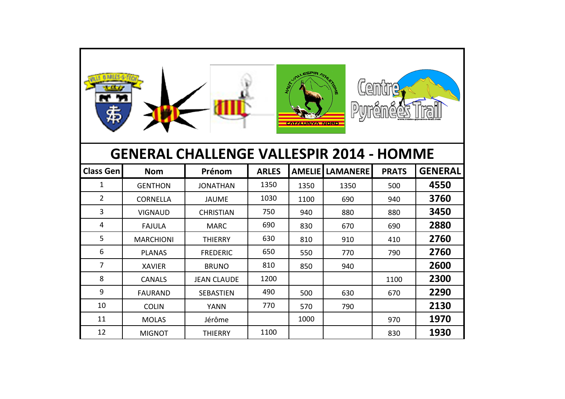

## **GENERAL CHALLENGE VALLESPIR 2014 - HOMME**

| <b>Class Gen</b> | <b>Nom</b>       | Prénom             | <b>ARLES</b> | <b>AMELIE</b> | <b>LAMANERE</b> | <b>PRATS</b> | <b>GENERAL</b> |
|------------------|------------------|--------------------|--------------|---------------|-----------------|--------------|----------------|
| 1                | <b>GENTHON</b>   | <b>JONATHAN</b>    | 1350         | 1350          | 1350            | 500          | 4550           |
| $\overline{2}$   | <b>CORNELLA</b>  | <b>JAUME</b>       | 1030         | 1100          | 690             | 940          | 3760           |
| 3                | <b>VIGNAUD</b>   | <b>CHRISTIAN</b>   | 750          | 940           | 880             | 880          | 3450           |
| 4                | <b>FAJULA</b>    | <b>MARC</b>        | 690          | 830           | 670             | 690          | 2880           |
| 5                | <b>MARCHIONI</b> | <b>THIERRY</b>     | 630          | 810           | 910             | 410          | 2760           |
| 6                | <b>PLANAS</b>    | <b>FREDERIC</b>    | 650          | 550           | 770             | 790          | 2760           |
| 7                | <b>XAVIER</b>    | <b>BRUNO</b>       | 810          | 850           | 940             |              | 2600           |
| 8                | <b>CANALS</b>    | <b>JEAN CLAUDE</b> | 1200         |               |                 | 1100         | 2300           |
| 9                | <b>FAURAND</b>   | <b>SEBASTIEN</b>   | 490          | 500           | 630             | 670          | 2290           |
| 10               | <b>COLIN</b>     | YANN               | 770          | 570           | 790             |              | 2130           |
| 11               | <b>MOLAS</b>     | Jérôme             |              | 1000          |                 | 970          | 1970           |
| 12               | <b>MIGNOT</b>    | <b>THIERRY</b>     | 1100         |               |                 | 830          | 1930           |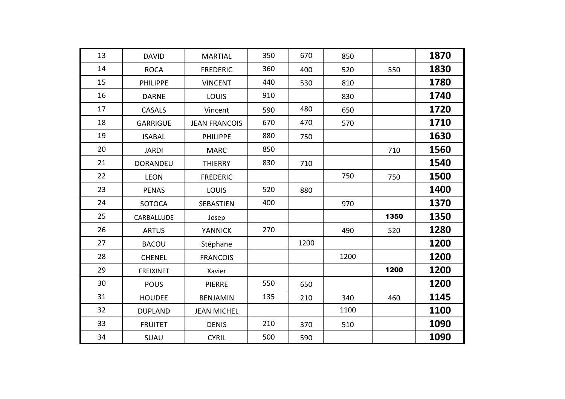| 13 | <b>DAVID</b>     | <b>MARTIAL</b>       | 350 | 670  | 850  |      | 1870 |
|----|------------------|----------------------|-----|------|------|------|------|
| 14 | <b>ROCA</b>      | <b>FREDERIC</b>      | 360 | 400  | 520  | 550  | 1830 |
| 15 | <b>PHILIPPE</b>  | <b>VINCENT</b>       | 440 | 530  | 810  |      | 1780 |
| 16 | <b>DARNE</b>     | <b>LOUIS</b>         | 910 |      | 830  |      | 1740 |
| 17 | <b>CASALS</b>    | Vincent              | 590 | 480  | 650  |      | 1720 |
| 18 | <b>GARRIGUE</b>  | <b>JEAN FRANCOIS</b> | 670 | 470  | 570  |      | 1710 |
| 19 | <b>ISABAL</b>    | PHILIPPE             | 880 | 750  |      |      | 1630 |
| 20 | <b>JARDI</b>     | <b>MARC</b>          | 850 |      |      | 710  | 1560 |
| 21 | <b>DORANDEU</b>  | <b>THIERRY</b>       | 830 | 710  |      |      | 1540 |
| 22 | <b>LEON</b>      | <b>FREDERIC</b>      |     |      | 750  | 750  | 1500 |
| 23 | <b>PENAS</b>     | LOUIS                | 520 | 880  |      |      | 1400 |
| 24 | <b>SOTOCA</b>    | <b>SEBASTIEN</b>     | 400 |      | 970  |      | 1370 |
| 25 | CARBALLUDE       | Josep                |     |      |      | 1350 | 1350 |
| 26 | <b>ARTUS</b>     | <b>YANNICK</b>       | 270 |      | 490  | 520  | 1280 |
| 27 | <b>BACOU</b>     | Stéphane             |     | 1200 |      |      | 1200 |
| 28 | <b>CHENEL</b>    | <b>FRANCOIS</b>      |     |      | 1200 |      | 1200 |
| 29 | <b>FREIXINET</b> | Xavier               |     |      |      | 1200 | 1200 |
| 30 | <b>POUS</b>      | <b>PIERRE</b>        | 550 | 650  |      |      | 1200 |
| 31 | <b>HOUDEE</b>    | <b>BENJAMIN</b>      | 135 | 210  | 340  | 460  | 1145 |
| 32 | <b>DUPLAND</b>   | <b>JEAN MICHEL</b>   |     |      | 1100 |      | 1100 |
| 33 | <b>FRUITET</b>   | <b>DENIS</b>         | 210 | 370  | 510  |      | 1090 |
| 34 | SUAU             | <b>CYRIL</b>         | 500 | 590  |      |      | 1090 |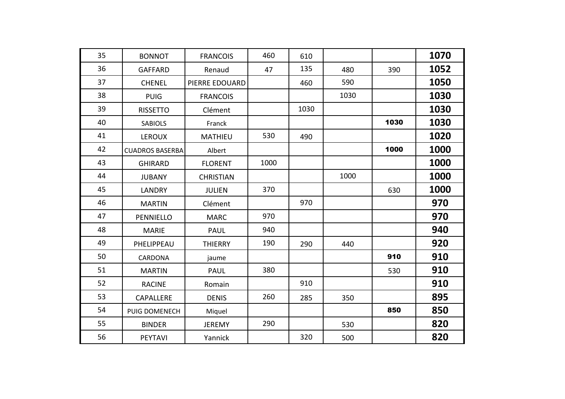| 35 | <b>BONNOT</b>          | <b>FRANCOIS</b>  | 460  | 610  |      |      | 1070 |
|----|------------------------|------------------|------|------|------|------|------|
| 36 | <b>GAFFARD</b>         | Renaud           | 47   | 135  | 480  | 390  | 1052 |
| 37 | <b>CHENEL</b>          | PIERRE EDOUARD   |      | 460  | 590  |      | 1050 |
| 38 | <b>PUIG</b>            | <b>FRANCOIS</b>  |      |      | 1030 |      | 1030 |
| 39 | <b>RISSETTO</b>        | Clément          |      | 1030 |      |      | 1030 |
| 40 | <b>SABIOLS</b>         | Franck           |      |      |      | 1030 | 1030 |
| 41 | <b>LEROUX</b>          | <b>MATHIEU</b>   | 530  | 490  |      |      | 1020 |
| 42 | <b>CUADROS BASERBA</b> | Albert           |      |      |      | 1000 | 1000 |
| 43 | <b>GHIRARD</b>         | <b>FLORENT</b>   | 1000 |      |      |      | 1000 |
| 44 | <b>JUBANY</b>          | <b>CHRISTIAN</b> |      |      | 1000 |      | 1000 |
| 45 | <b>LANDRY</b>          | <b>JULIEN</b>    | 370  |      |      | 630  | 1000 |
| 46 | <b>MARTIN</b>          | Clément          |      | 970  |      |      | 970  |
| 47 | PENNIELLO              | <b>MARC</b>      | 970  |      |      |      | 970  |
| 48 | <b>MARIE</b>           | <b>PAUL</b>      | 940  |      |      |      | 940  |
| 49 | PHELIPPEAU             | <b>THIERRY</b>   | 190  | 290  | 440  |      | 920  |
| 50 | <b>CARDONA</b>         | jaume            |      |      |      | 910  | 910  |
| 51 | <b>MARTIN</b>          | <b>PAUL</b>      | 380  |      |      | 530  | 910  |
| 52 | <b>RACINE</b>          | Romain           |      | 910  |      |      | 910  |
| 53 | <b>CAPALLERE</b>       | <b>DENIS</b>     | 260  | 285  | 350  |      | 895  |
| 54 | PUIG DOMENECH          | Miquel           |      |      |      | 850  | 850  |
| 55 | <b>BINDER</b>          | <b>JEREMY</b>    | 290  |      | 530  |      | 820  |
| 56 | PEYTAVI                | Yannick          |      | 320  | 500  |      | 820  |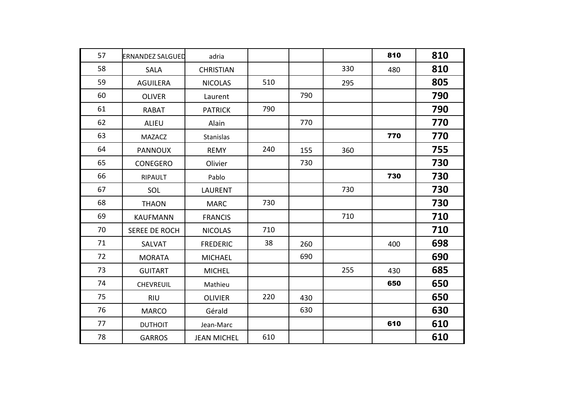| 57 | <b>ERNANDEZ SALGUED</b> | adria              |     |     |     | 810 | 810 |
|----|-------------------------|--------------------|-----|-----|-----|-----|-----|
| 58 | <b>SALA</b>             | <b>CHRISTIAN</b>   |     |     | 330 | 480 | 810 |
| 59 | <b>AGUILERA</b>         | <b>NICOLAS</b>     | 510 |     | 295 |     | 805 |
| 60 | <b>OLIVER</b>           | Laurent            |     | 790 |     |     | 790 |
| 61 | <b>RABAT</b>            | <b>PATRICK</b>     | 790 |     |     |     | 790 |
| 62 | <b>ALIEU</b>            | Alain              |     | 770 |     |     | 770 |
| 63 | <b>MAZACZ</b>           | <b>Stanislas</b>   |     |     |     | 770 | 770 |
| 64 | <b>PANNOUX</b>          | <b>REMY</b>        | 240 | 155 | 360 |     | 755 |
| 65 | <b>CONEGERO</b>         | Olivier            |     | 730 |     |     | 730 |
| 66 | <b>RIPAULT</b>          | Pablo              |     |     |     | 730 | 730 |
| 67 | SOL                     | <b>LAURENT</b>     |     |     | 730 |     | 730 |
| 68 | <b>THAON</b>            | <b>MARC</b>        | 730 |     |     |     | 730 |
| 69 | <b>KAUFMANN</b>         | <b>FRANCIS</b>     |     |     | 710 |     | 710 |
| 70 | <b>SEREE DE ROCH</b>    | <b>NICOLAS</b>     | 710 |     |     |     | 710 |
| 71 | SALVAT                  | <b>FREDERIC</b>    | 38  | 260 |     | 400 | 698 |
| 72 | <b>MORATA</b>           | <b>MICHAEL</b>     |     | 690 |     |     | 690 |
| 73 | <b>GUITART</b>          | <b>MICHEL</b>      |     |     | 255 | 430 | 685 |
| 74 | <b>CHEVREUIL</b>        | Mathieu            |     |     |     | 650 | 650 |
| 75 | <b>RIU</b>              | <b>OLIVIER</b>     | 220 | 430 |     |     | 650 |
| 76 | <b>MARCO</b>            | Gérald             |     | 630 |     |     | 630 |
| 77 | <b>DUTHOIT</b>          | Jean-Marc          |     |     |     | 610 | 610 |
| 78 | <b>GARROS</b>           | <b>JEAN MICHEL</b> | 610 |     |     |     | 610 |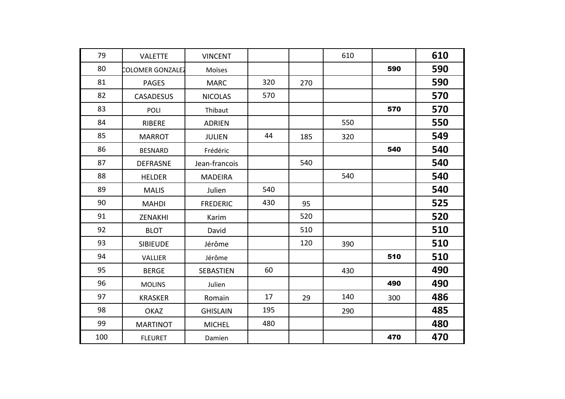| 79  | <b>VALETTE</b>   | <b>VINCENT</b>   |     |     | 610 |     | 610 |
|-----|------------------|------------------|-----|-----|-----|-----|-----|
| 80  | COLOMER GONZALEZ | Moïses           |     |     |     | 590 | 590 |
| 81  | <b>PAGES</b>     | <b>MARC</b>      | 320 | 270 |     |     | 590 |
| 82  | <b>CASADESUS</b> | <b>NICOLAS</b>   | 570 |     |     |     | 570 |
| 83  | <b>POLI</b>      | Thibaut          |     |     |     | 570 | 570 |
| 84  | RIBERE           | <b>ADRIEN</b>    |     |     | 550 |     | 550 |
| 85  | <b>MARROT</b>    | <b>JULIEN</b>    | 44  | 185 | 320 |     | 549 |
| 86  | <b>BESNARD</b>   | Frédéric         |     |     |     | 540 | 540 |
| 87  | <b>DEFRASNE</b>  | Jean-francois    |     | 540 |     |     | 540 |
| 88  | <b>HELDER</b>    | <b>MADEIRA</b>   |     |     | 540 |     | 540 |
| 89  | <b>MALIS</b>     | Julien           | 540 |     |     |     | 540 |
| 90  | <b>MAHDI</b>     | <b>FREDERIC</b>  | 430 | 95  |     |     | 525 |
| 91  | ZENAKHI          | Karim            |     | 520 |     |     | 520 |
| 92  | <b>BLOT</b>      | David            |     | 510 |     |     | 510 |
| 93  | <b>SIBIEUDE</b>  | Jérôme           |     | 120 | 390 |     | 510 |
| 94  | <b>VALLIER</b>   | Jérôme           |     |     |     | 510 | 510 |
| 95  | <b>BERGE</b>     | <b>SEBASTIEN</b> | 60  |     | 430 |     | 490 |
| 96  | <b>MOLINS</b>    | Julien           |     |     |     | 490 | 490 |
| 97  | <b>KRASKER</b>   | Romain           | 17  | 29  | 140 | 300 | 486 |
| 98  | <b>OKAZ</b>      | <b>GHISLAIN</b>  | 195 |     | 290 |     | 485 |
| 99  | <b>MARTINOT</b>  | <b>MICHEL</b>    | 480 |     |     |     | 480 |
| 100 | <b>FLEURET</b>   | Damien           |     |     |     | 470 | 470 |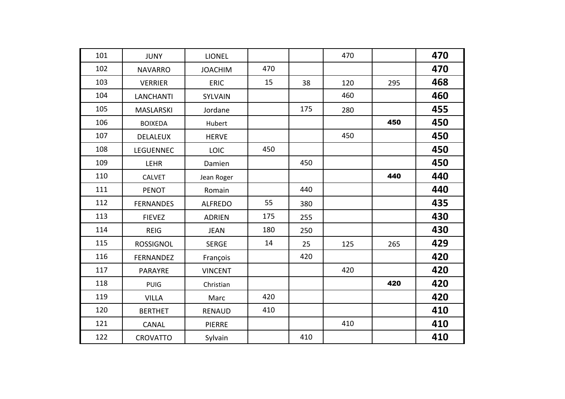| 101 | <b>JUNY</b>      | <b>LIONEL</b>  |     |     | 470 |     | 470 |
|-----|------------------|----------------|-----|-----|-----|-----|-----|
| 102 | <b>NAVARRO</b>   | <b>JOACHIM</b> | 470 |     |     |     | 470 |
| 103 | <b>VERRIER</b>   | <b>ERIC</b>    | 15  | 38  | 120 | 295 | 468 |
| 104 | <b>LANCHANTI</b> | SYLVAIN        |     |     | 460 |     | 460 |
| 105 | <b>MASLARSKI</b> | Jordane        |     | 175 | 280 |     | 455 |
| 106 | <b>BOIXEDA</b>   | Hubert         |     |     |     | 450 | 450 |
| 107 | <b>DELALEUX</b>  | <b>HERVE</b>   |     |     | 450 |     | 450 |
| 108 | <b>LEGUENNEC</b> | LOIC           | 450 |     |     |     | 450 |
| 109 | <b>LEHR</b>      | Damien         |     | 450 |     |     | 450 |
| 110 | <b>CALVET</b>    | Jean Roger     |     |     |     | 440 | 440 |
| 111 | <b>PENOT</b>     | Romain         |     | 440 |     |     | 440 |
| 112 | <b>FERNANDES</b> | <b>ALFREDO</b> | 55  | 380 |     |     | 435 |
| 113 | <b>FIEVEZ</b>    | <b>ADRIEN</b>  | 175 | 255 |     |     | 430 |
| 114 | <b>REIG</b>      | <b>JEAN</b>    | 180 | 250 |     |     | 430 |
| 115 | <b>ROSSIGNOL</b> | <b>SERGE</b>   | 14  | 25  | 125 | 265 | 429 |
| 116 | FERNANDEZ        | François       |     | 420 |     |     | 420 |
| 117 | <b>PARAYRE</b>   | <b>VINCENT</b> |     |     | 420 |     | 420 |
| 118 | <b>PUIG</b>      | Christian      |     |     |     | 420 | 420 |
| 119 | <b>VILLA</b>     | Marc           | 420 |     |     |     | 420 |
| 120 | <b>BERTHET</b>   | <b>RENAUD</b>  | 410 |     |     |     | 410 |
| 121 | <b>CANAL</b>     | <b>PIERRE</b>  |     |     | 410 |     | 410 |
| 122 | <b>CROVATTO</b>  | Sylvain        |     | 410 |     |     | 410 |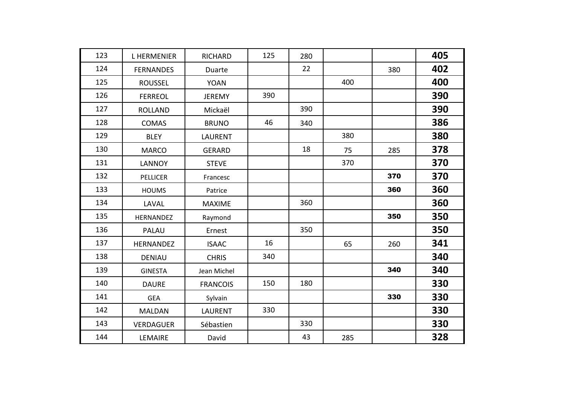| 123 | <b>LHERMENIER</b> | <b>RICHARD</b>  | 125 | 280 |     |     | 405 |
|-----|-------------------|-----------------|-----|-----|-----|-----|-----|
| 124 | <b>FERNANDES</b>  | Duarte          |     | 22  |     | 380 | 402 |
| 125 | <b>ROUSSEL</b>    | <b>YOAN</b>     |     |     | 400 |     | 400 |
| 126 | <b>FERREOL</b>    | <b>JEREMY</b>   | 390 |     |     |     | 390 |
| 127 | <b>ROLLAND</b>    | Mickaël         |     | 390 |     |     | 390 |
| 128 | <b>COMAS</b>      | <b>BRUNO</b>    | 46  | 340 |     |     | 386 |
| 129 | <b>BLEY</b>       | <b>LAURENT</b>  |     |     | 380 |     | 380 |
| 130 | <b>MARCO</b>      | <b>GERARD</b>   |     | 18  | 75  | 285 | 378 |
| 131 | <b>LANNOY</b>     | <b>STEVE</b>    |     |     | 370 |     | 370 |
| 132 | <b>PELLICER</b>   | Francesc        |     |     |     | 370 | 370 |
| 133 | <b>HOUMS</b>      | Patrice         |     |     |     | 360 | 360 |
| 134 | LAVAL             | <b>MAXIME</b>   |     | 360 |     |     | 360 |
| 135 | HERNANDEZ         | Raymond         |     |     |     | 350 | 350 |
| 136 | PALAU             | Ernest          |     | 350 |     |     | 350 |
| 137 | <b>HERNANDEZ</b>  | <b>ISAAC</b>    | 16  |     | 65  | 260 | 341 |
| 138 | <b>DENIAU</b>     | <b>CHRIS</b>    | 340 |     |     |     | 340 |
| 139 | <b>GINESTA</b>    | Jean Michel     |     |     |     | 340 | 340 |
| 140 | <b>DAURE</b>      | <b>FRANCOIS</b> | 150 | 180 |     |     | 330 |
| 141 | <b>GEA</b>        | Sylvain         |     |     |     | 330 | 330 |
| 142 | <b>MALDAN</b>     | <b>LAURENT</b>  | 330 |     |     |     | 330 |
| 143 | <b>VERDAGUER</b>  | Sébastien       |     | 330 |     |     | 330 |
| 144 | LEMAIRE           | David           |     | 43  | 285 |     | 328 |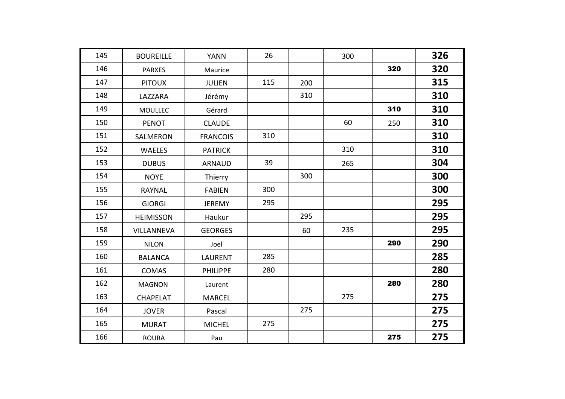| 145 | <b>BOUREILLE</b> | <b>YANN</b>     | 26  |     | 300 |     | 326 |
|-----|------------------|-----------------|-----|-----|-----|-----|-----|
| 146 | <b>PARXES</b>    | Maurice         |     |     |     | 320 | 320 |
| 147 | <b>PITOUX</b>    | <b>JULIEN</b>   | 115 | 200 |     |     | 315 |
| 148 | LAZZARA          | Jérémy          |     | 310 |     |     | 310 |
| 149 | <b>MOULLEC</b>   | Gérard          |     |     |     | 310 | 310 |
| 150 | <b>PENOT</b>     | <b>CLAUDE</b>   |     |     | 60  | 250 | 310 |
| 151 | SALMERON         | <b>FRANCOIS</b> | 310 |     |     |     | 310 |
| 152 | WAELES           | <b>PATRICK</b>  |     |     | 310 |     | 310 |
| 153 | <b>DUBUS</b>     | <b>ARNAUD</b>   | 39  |     | 265 |     | 304 |
| 154 | <b>NOYE</b>      | Thierry         |     | 300 |     |     | 300 |
| 155 | <b>RAYNAL</b>    | <b>FABIEN</b>   | 300 |     |     |     | 300 |
| 156 | <b>GIORGI</b>    | <b>JEREMY</b>   | 295 |     |     |     | 295 |
| 157 | <b>HEIMISSON</b> | Haukur          |     | 295 |     |     | 295 |
| 158 | VILLANNEVA       | <b>GEORGES</b>  |     | 60  | 235 |     | 295 |
| 159 | <b>NILON</b>     | Joel            |     |     |     | 290 | 290 |
| 160 | <b>BALANCA</b>   | <b>LAURENT</b>  | 285 |     |     |     | 285 |
| 161 | <b>COMAS</b>     | <b>PHILIPPE</b> | 280 |     |     |     | 280 |
| 162 | <b>MAGNON</b>    | Laurent         |     |     |     | 280 | 280 |
| 163 | <b>CHAPELAT</b>  | <b>MARCEL</b>   |     |     | 275 |     | 275 |
| 164 | <b>JOVER</b>     | Pascal          |     | 275 |     |     | 275 |
| 165 | <b>MURAT</b>     | <b>MICHEL</b>   | 275 |     |     |     | 275 |
| 166 | <b>ROURA</b>     | Pau             |     |     |     | 275 | 275 |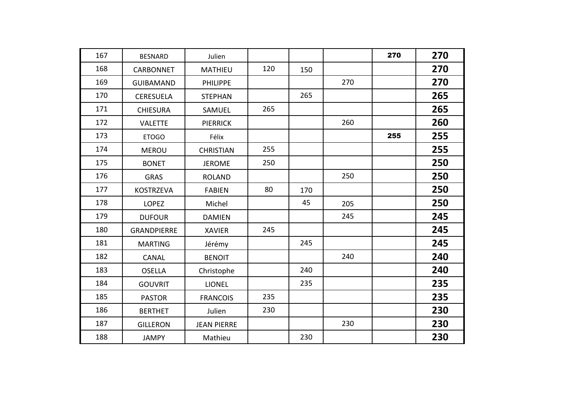| 167 | <b>BESNARD</b>     | Julien             |     |     |     | 270 | 270 |
|-----|--------------------|--------------------|-----|-----|-----|-----|-----|
| 168 | <b>CARBONNET</b>   | <b>MATHIEU</b>     | 120 | 150 |     |     | 270 |
| 169 | <b>GUIBAMAND</b>   | <b>PHILIPPE</b>    |     |     | 270 |     | 270 |
| 170 | <b>CERESUELA</b>   | <b>STEPHAN</b>     |     | 265 |     |     | 265 |
| 171 | <b>CHIESURA</b>    | SAMUEL             | 265 |     |     |     | 265 |
| 172 | <b>VALETTE</b>     | <b>PIERRICK</b>    |     |     | 260 |     | 260 |
| 173 | <b>ETOGO</b>       | Félix              |     |     |     | 255 | 255 |
| 174 | <b>MEROU</b>       | <b>CHRISTIAN</b>   | 255 |     |     |     | 255 |
| 175 | <b>BONET</b>       | <b>JEROME</b>      | 250 |     |     |     | 250 |
| 176 | <b>GRAS</b>        | <b>ROLAND</b>      |     |     | 250 |     | 250 |
| 177 | <b>KOSTRZEVA</b>   | <b>FABIEN</b>      | 80  | 170 |     |     | 250 |
| 178 | <b>LOPEZ</b>       | Michel             |     | 45  | 205 |     | 250 |
| 179 | <b>DUFOUR</b>      | <b>DAMIEN</b>      |     |     | 245 |     | 245 |
| 180 | <b>GRANDPIERRE</b> | <b>XAVIER</b>      | 245 |     |     |     | 245 |
| 181 | <b>MARTING</b>     | Jérémy             |     | 245 |     |     | 245 |
| 182 | <b>CANAL</b>       | <b>BENOIT</b>      |     |     | 240 |     | 240 |
| 183 | <b>OSELLA</b>      | Christophe         |     | 240 |     |     | 240 |
| 184 | <b>GOUVRIT</b>     | <b>LIONEL</b>      |     | 235 |     |     | 235 |
| 185 | <b>PASTOR</b>      | <b>FRANCOIS</b>    | 235 |     |     |     | 235 |
| 186 | <b>BERTHET</b>     | Julien             | 230 |     |     |     | 230 |
| 187 | <b>GILLERON</b>    | <b>JEAN PIERRE</b> |     |     | 230 |     | 230 |
| 188 | <b>JAMPY</b>       | Mathieu            |     | 230 |     |     | 230 |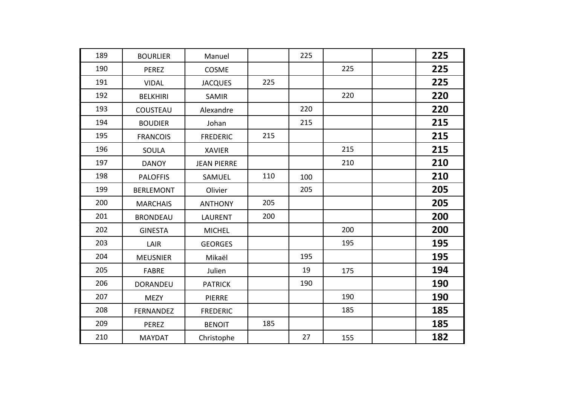| 189 | <b>BOURLIER</b>  | Manuel             |     | 225 |     | 225 |
|-----|------------------|--------------------|-----|-----|-----|-----|
| 190 | <b>PEREZ</b>     | COSME              |     |     | 225 | 225 |
| 191 | <b>VIDAL</b>     | <b>JACQUES</b>     | 225 |     |     | 225 |
| 192 | <b>BELKHIRI</b>  | <b>SAMIR</b>       |     |     | 220 | 220 |
| 193 | COUSTEAU         | Alexandre          |     | 220 |     | 220 |
| 194 | <b>BOUDIER</b>   | Johan              |     | 215 |     | 215 |
| 195 | <b>FRANCOIS</b>  | <b>FREDERIC</b>    | 215 |     |     | 215 |
| 196 | <b>SOULA</b>     | <b>XAVIER</b>      |     |     | 215 | 215 |
| 197 | <b>DANOY</b>     | <b>JEAN PIERRE</b> |     |     | 210 | 210 |
| 198 | <b>PALOFFIS</b>  | SAMUEL             | 110 | 100 |     | 210 |
| 199 | <b>BERLEMONT</b> | Olivier            |     | 205 |     | 205 |
| 200 | <b>MARCHAIS</b>  | <b>ANTHONY</b>     | 205 |     |     | 205 |
| 201 | <b>BRONDEAU</b>  | <b>LAURENT</b>     | 200 |     |     | 200 |
| 202 | <b>GINESTA</b>   | <b>MICHEL</b>      |     |     | 200 | 200 |
| 203 | LAIR             | <b>GEORGES</b>     |     |     | 195 | 195 |
| 204 | <b>MEUSNIER</b>  | Mikaël             |     | 195 |     | 195 |
| 205 | <b>FABRE</b>     | Julien             |     | 19  | 175 | 194 |
| 206 | <b>DORANDEU</b>  | <b>PATRICK</b>     |     | 190 |     | 190 |
| 207 | <b>MEZY</b>      | <b>PIERRE</b>      |     |     | 190 | 190 |
| 208 | <b>FERNANDEZ</b> | <b>FREDERIC</b>    |     |     | 185 | 185 |
| 209 | <b>PEREZ</b>     | <b>BENOIT</b>      | 185 |     |     | 185 |
| 210 | <b>MAYDAT</b>    | Christophe         |     | 27  | 155 | 182 |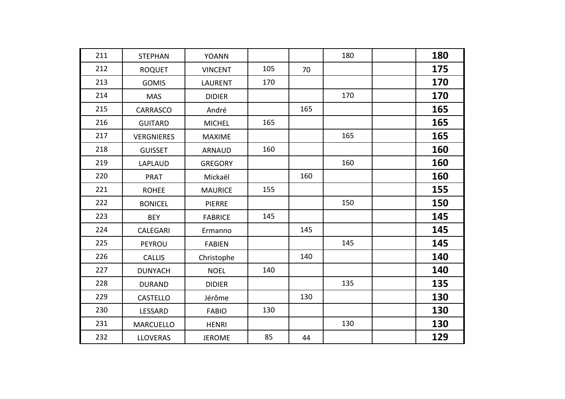| 211 | <b>STEPHAN</b>    | <b>YOANN</b>   |     |     | 180 | 180 |
|-----|-------------------|----------------|-----|-----|-----|-----|
| 212 | <b>ROQUET</b>     | <b>VINCENT</b> | 105 | 70  |     | 175 |
| 213 | <b>GOMIS</b>      | <b>LAURENT</b> | 170 |     |     | 170 |
| 214 | <b>MAS</b>        | <b>DIDIER</b>  |     |     | 170 | 170 |
| 215 | <b>CARRASCO</b>   | André          |     | 165 |     | 165 |
| 216 | <b>GUITARD</b>    | <b>MICHEL</b>  | 165 |     |     | 165 |
| 217 | <b>VERGNIERES</b> | <b>MAXIME</b>  |     |     | 165 | 165 |
| 218 | <b>GUISSET</b>    | <b>ARNAUD</b>  | 160 |     |     | 160 |
| 219 | LAPLAUD           | <b>GREGORY</b> |     |     | 160 | 160 |
| 220 | <b>PRAT</b>       | Mickaël        |     | 160 |     | 160 |
| 221 | <b>ROHEE</b>      | <b>MAURICE</b> | 155 |     |     | 155 |
| 222 | <b>BONICEL</b>    | <b>PIERRE</b>  |     |     | 150 | 150 |
| 223 | <b>BEY</b>        | <b>FABRICE</b> | 145 |     |     | 145 |
| 224 | CALEGARI          | Ermanno        |     | 145 |     | 145 |
| 225 | PEYROU            | <b>FABIEN</b>  |     |     | 145 | 145 |
| 226 | <b>CALLIS</b>     | Christophe     |     | 140 |     | 140 |
| 227 | <b>DUNYACH</b>    | <b>NOEL</b>    | 140 |     |     | 140 |
| 228 | <b>DURAND</b>     | <b>DIDIER</b>  |     |     | 135 | 135 |
| 229 | <b>CASTELLO</b>   | Jérôme         |     | 130 |     | 130 |
| 230 | LESSARD           | <b>FABIO</b>   | 130 |     |     | 130 |
| 231 | <b>MARCUELLO</b>  | <b>HENRI</b>   |     |     | 130 | 130 |
| 232 | <b>LLOVERAS</b>   | <b>JEROME</b>  | 85  | 44  |     | 129 |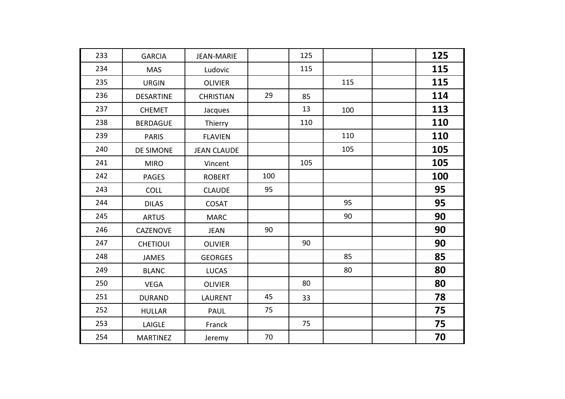| 233 | <b>GARCIA</b>    | <b>JEAN-MARIE</b>  |     | 125 |     | 125 |
|-----|------------------|--------------------|-----|-----|-----|-----|
| 234 | <b>MAS</b>       | Ludovic            |     | 115 |     | 115 |
| 235 | <b>URGIN</b>     | <b>OLIVIER</b>     |     |     | 115 | 115 |
| 236 | <b>DESARTINE</b> | <b>CHRISTIAN</b>   | 29  | 85  |     | 114 |
| 237 | <b>CHEMET</b>    | Jacques            |     | 13  | 100 | 113 |
| 238 | <b>BERDAGUE</b>  | Thierry            |     | 110 |     | 110 |
| 239 | <b>PARIS</b>     | <b>FLAVIEN</b>     |     |     | 110 | 110 |
| 240 | DE SIMONE        | <b>JEAN CLAUDE</b> |     |     | 105 | 105 |
| 241 | <b>MIRO</b>      | Vincent            |     | 105 |     | 105 |
| 242 | <b>PAGES</b>     | <b>ROBERT</b>      | 100 |     |     | 100 |
| 243 | <b>COLL</b>      | <b>CLAUDE</b>      | 95  |     |     | 95  |
| 244 | <b>DILAS</b>     | <b>COSAT</b>       |     |     | 95  | 95  |
| 245 | <b>ARTUS</b>     | <b>MARC</b>        |     |     | 90  | 90  |
| 246 | <b>CAZENOVE</b>  | <b>JEAN</b>        | 90  |     |     | 90  |
| 247 | <b>CHETIOUI</b>  | <b>OLIVIER</b>     |     | 90  |     | 90  |
| 248 | <b>JAMES</b>     | <b>GEORGES</b>     |     |     | 85  | 85  |
| 249 | <b>BLANC</b>     | <b>LUCAS</b>       |     |     | 80  | 80  |
| 250 | <b>VEGA</b>      | <b>OLIVIER</b>     |     | 80  |     | 80  |
| 251 | <b>DURAND</b>    | <b>LAURENT</b>     | 45  | 33  |     | 78  |
| 252 | <b>HULLAR</b>    | <b>PAUL</b>        | 75  |     |     | 75  |
| 253 | LAIGLE           | Franck             |     | 75  |     | 75  |
| 254 | <b>MARTINEZ</b>  | Jeremy             | 70  |     |     | 70  |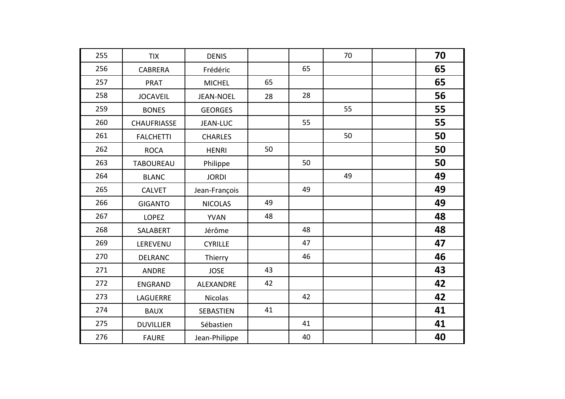| 255 | <b>TIX</b>         | <b>DENIS</b>     |    |    | 70 | 70 |
|-----|--------------------|------------------|----|----|----|----|
| 256 | <b>CABRERA</b>     | Frédéric         |    | 65 |    | 65 |
| 257 | <b>PRAT</b>        | <b>MICHEL</b>    | 65 |    |    | 65 |
| 258 | <b>JOCAVEIL</b>    | <b>JEAN-NOEL</b> | 28 | 28 |    | 56 |
| 259 | <b>BONES</b>       | <b>GEORGES</b>   |    |    | 55 | 55 |
| 260 | <b>CHAUFRIASSE</b> | <b>JEAN-LUC</b>  |    | 55 |    | 55 |
| 261 | <b>FALCHETTI</b>   | <b>CHARLES</b>   |    |    | 50 | 50 |
| 262 | <b>ROCA</b>        | <b>HENRI</b>     | 50 |    |    | 50 |
| 263 | <b>TABOUREAU</b>   | Philippe         |    | 50 |    | 50 |
| 264 | <b>BLANC</b>       | <b>JORDI</b>     |    |    | 49 | 49 |
| 265 | <b>CALVET</b>      | Jean-François    |    | 49 |    | 49 |
| 266 | <b>GIGANTO</b>     | <b>NICOLAS</b>   | 49 |    |    | 49 |
| 267 | <b>LOPEZ</b>       | <b>YVAN</b>      | 48 |    |    | 48 |
| 268 | SALABERT           | Jérôme           |    | 48 |    | 48 |
| 269 | LEREVENU           | <b>CYRILLE</b>   |    | 47 |    | 47 |
| 270 | <b>DELRANC</b>     | Thierry          |    | 46 |    | 46 |
| 271 | <b>ANDRE</b>       | <b>JOSE</b>      | 43 |    |    | 43 |
| 272 | <b>ENGRAND</b>     | ALEXANDRE        | 42 |    |    | 42 |
| 273 | <b>LAGUERRE</b>    | <b>Nicolas</b>   |    | 42 |    | 42 |
| 274 | <b>BAUX</b>        | SEBASTIEN        | 41 |    |    | 41 |
| 275 | <b>DUVILLIER</b>   | Sébastien        |    | 41 |    | 41 |
| 276 | <b>FAURE</b>       | Jean-Philippe    |    | 40 |    | 40 |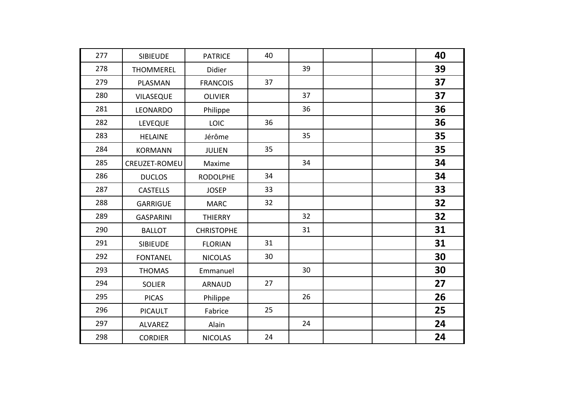| 277 | <b>SIBIEUDE</b>  | <b>PATRICE</b>    | 40 |    |  | 40 |
|-----|------------------|-------------------|----|----|--|----|
| 278 | <b>THOMMEREL</b> | Didier            |    | 39 |  | 39 |
| 279 | PLASMAN          | <b>FRANCOIS</b>   | 37 |    |  | 37 |
| 280 | <b>VILASEQUE</b> | <b>OLIVIER</b>    |    | 37 |  | 37 |
| 281 | LEONARDO         | Philippe          |    | 36 |  | 36 |
| 282 | <b>LEVEQUE</b>   | <b>LOIC</b>       | 36 |    |  | 36 |
| 283 | <b>HELAINE</b>   | Jérôme            |    | 35 |  | 35 |
| 284 | <b>KORMANN</b>   | <b>JULIEN</b>     | 35 |    |  | 35 |
| 285 | CREUZET-ROMEU    | Maxime            |    | 34 |  | 34 |
| 286 | <b>DUCLOS</b>    | <b>RODOLPHE</b>   | 34 |    |  | 34 |
| 287 | <b>CASTELLS</b>  | <b>JOSEP</b>      | 33 |    |  | 33 |
| 288 | <b>GARRIGUE</b>  | <b>MARC</b>       | 32 |    |  | 32 |
| 289 | <b>GASPARINI</b> | <b>THIERRY</b>    |    | 32 |  | 32 |
| 290 | <b>BALLOT</b>    | <b>CHRISTOPHE</b> |    | 31 |  | 31 |
| 291 | <b>SIBIEUDE</b>  | <b>FLORIAN</b>    | 31 |    |  | 31 |
| 292 | <b>FONTANEL</b>  | <b>NICOLAS</b>    | 30 |    |  | 30 |
| 293 | <b>THOMAS</b>    | Emmanuel          |    | 30 |  | 30 |
| 294 | <b>SOLIER</b>    | <b>ARNAUD</b>     | 27 |    |  | 27 |
| 295 | <b>PICAS</b>     | Philippe          |    | 26 |  | 26 |
| 296 | <b>PICAULT</b>   | Fabrice           | 25 |    |  | 25 |
| 297 | <b>ALVAREZ</b>   | Alain             |    | 24 |  | 24 |
| 298 | <b>CORDIER</b>   | <b>NICOLAS</b>    | 24 |    |  | 24 |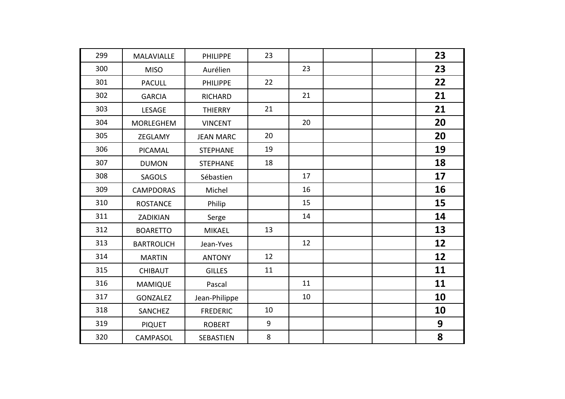| 299 | MALAVIALLE        | <b>PHILIPPE</b>  | 23 |    |  | 23 |
|-----|-------------------|------------------|----|----|--|----|
| 300 | <b>MISO</b>       | Aurélien         |    | 23 |  | 23 |
| 301 | <b>PACULL</b>     | <b>PHILIPPE</b>  | 22 |    |  | 22 |
| 302 | <b>GARCIA</b>     | <b>RICHARD</b>   |    | 21 |  | 21 |
| 303 | <b>LESAGE</b>     | <b>THIERRY</b>   | 21 |    |  | 21 |
| 304 | <b>MORLEGHEM</b>  | <b>VINCENT</b>   |    | 20 |  | 20 |
| 305 | ZEGLAMY           | <b>JEAN MARC</b> | 20 |    |  | 20 |
| 306 | PICAMAL           | <b>STEPHANE</b>  | 19 |    |  | 19 |
| 307 | <b>DUMON</b>      | <b>STEPHANE</b>  | 18 |    |  | 18 |
| 308 | <b>SAGOLS</b>     | Sébastien        |    | 17 |  | 17 |
| 309 | <b>CAMPDORAS</b>  | Michel           |    | 16 |  | 16 |
| 310 | <b>ROSTANCE</b>   | Philip           |    | 15 |  | 15 |
| 311 | ZADIKIAN          | Serge            |    | 14 |  | 14 |
| 312 | <b>BOARETTO</b>   | <b>MIKAEL</b>    | 13 |    |  | 13 |
| 313 | <b>BARTROLICH</b> | Jean-Yves        |    | 12 |  | 12 |
| 314 | <b>MARTIN</b>     | <b>ANTONY</b>    | 12 |    |  | 12 |
| 315 | <b>CHIBAUT</b>    | <b>GILLES</b>    | 11 |    |  | 11 |
| 316 | <b>MAMIQUE</b>    | Pascal           |    | 11 |  | 11 |
| 317 | <b>GONZALEZ</b>   | Jean-Philippe    |    | 10 |  | 10 |
| 318 | <b>SANCHEZ</b>    | <b>FREDERIC</b>  | 10 |    |  | 10 |
| 319 | <b>PIQUET</b>     | <b>ROBERT</b>    | 9  |    |  | 9  |
| 320 | <b>CAMPASOL</b>   | SEBASTIEN        | 8  |    |  | 8  |